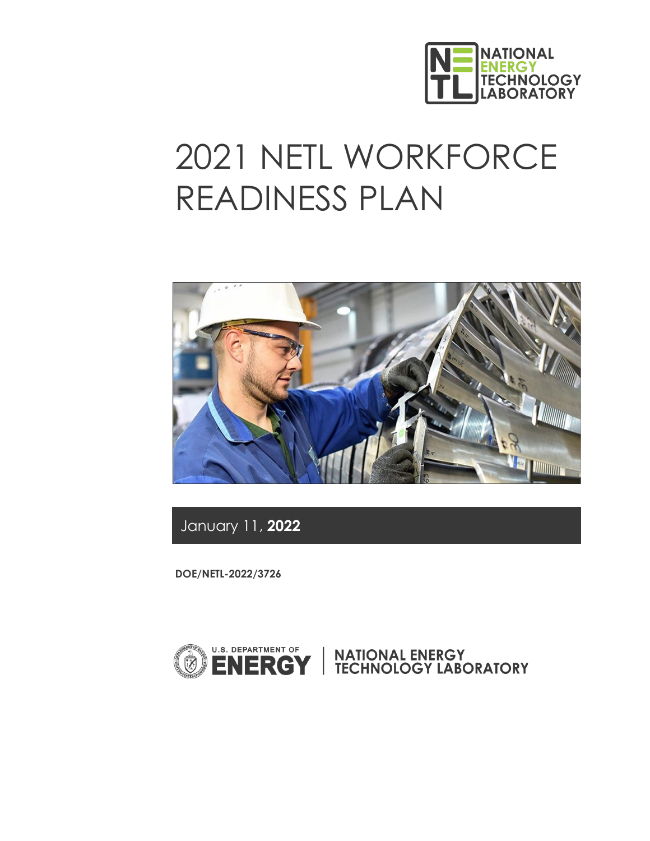

# 2021 NETL WORKFORCE READINESS PLAN



January 11, **2022** 

**DOE/NETL-2022/3726**

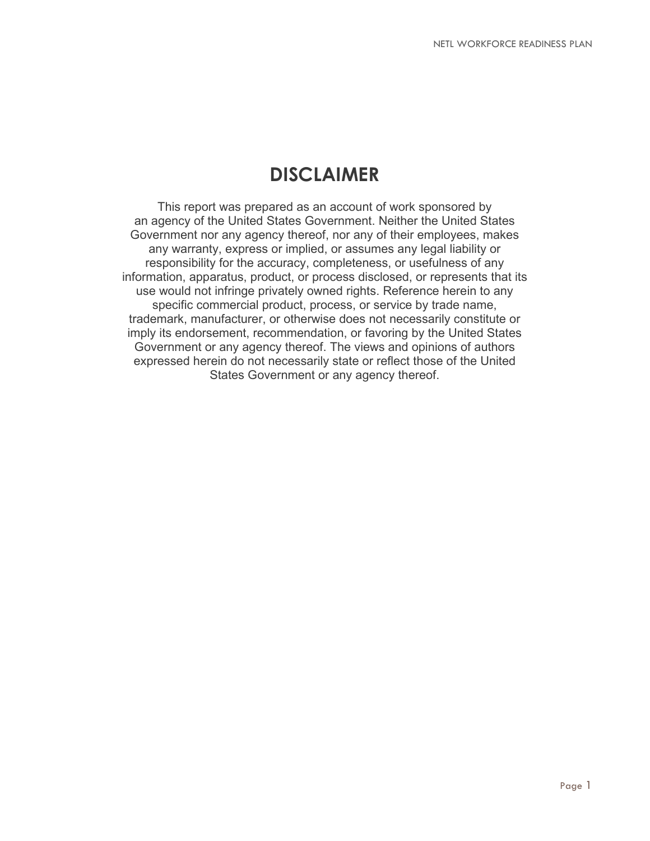## **DISCLAIMER**

This report was prepared as an account of work sponsored by an agency of the United States Government. Neither the United States Government nor any agency thereof, nor any of their employees, makes any warranty, express or implied, or assumes any legal liability or responsibility for the accuracy, completeness, or usefulness of any information, apparatus, product, or process disclosed, or represents that its use would not infringe privately owned rights. Reference herein to any specific commercial product, process, or service by trade name, trademark, manufacturer, or otherwise does not necessarily constitute or imply its endorsement, recommendation, or favoring by the United States Government or any agency thereof. The views and opinions of authors expressed herein do not necessarily state or reflect those of the United States Government or any agency thereof.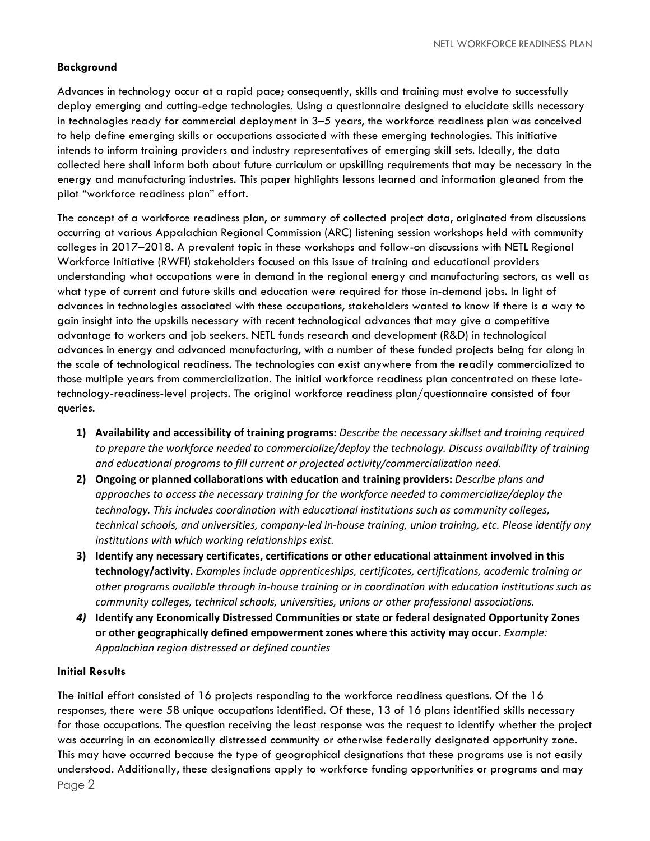#### **Background**

Advances in technology occur at a rapid pace; consequently, skills and training must evolve to successfully deploy emerging and cutting-edge technologies. Using a questionnaire designed to elucidate skills necessary in technologies ready for commercial deployment in 3–5 years, the workforce readiness plan was conceived to help define emerging skills or occupations associated with these emerging technologies. This initiative intends to inform training providers and industry representatives of emerging skill sets. Ideally, the data collected here shall inform both about future curriculum or upskilling requirements that may be necessary in the energy and manufacturing industries. This paper highlights lessons learned and information gleaned from the pilot "workforce readiness plan" effort.

The concept of a workforce readiness plan, or summary of collected project data, originated from discussions occurring at various Appalachian Regional Commission (ARC) listening session workshops held with community colleges in 2017–2018. A prevalent topic in these workshops and follow-on discussions with NETL Regional Workforce Initiative (RWFI) stakeholders focused on this issue of training and educational providers understanding what occupations were in demand in the regional energy and manufacturing sectors, as well as what type of current and future skills and education were required for those in-demand jobs. In light of advances in technologies associated with these occupations, stakeholders wanted to know if there is a way to gain insight into the upskills necessary with recent technological advances that may give a competitive advantage to workers and job seekers. NETL funds research and development (R&D) in technological advances in energy and advanced manufacturing, with a number of these funded projects being far along in the scale of technological readiness. The technologies can exist anywhere from the readily commercialized to those multiple years from commercialization. The initial workforce readiness plan concentrated on these latetechnology-readiness-level projects. The original workforce readiness plan/questionnaire consisted of four queries.

- **1) Availability and accessibility of training programs:** *Describe the necessary skillset and training required to prepare the workforce needed to commercialize/deploy the technology. Discuss availability of training and educational programs to fill current or projected activity/commercialization need.*
- **2) Ongoing or planned collaborations with education and training providers:** *Describe plans and approaches to access the necessary training for the workforce needed to commercialize/deploy the technology. This includes coordination with educational institutions such as community colleges, technical schools, and universities, company-led in-house training, union training, etc. Please identify any institutions with which working relationships exist.*
- **3) Identify any necessary certificates, certifications or other educational attainment involved in this technology/activity.** *Examples include apprenticeships, certificates, certifications, academic training or other programs available through in-house training or in coordination with education institutions such as community colleges, technical schools, universities, unions or other professional associations.*
- *4)* **Identify any Economically Distressed Communities or state or federal designated Opportunity Zones or other geographically defined empowerment zones where this activity may occur.** *Example: Appalachian region distressed or defined counties*

#### **Initial Results**

Page 2 The initial effort consisted of 16 projects responding to the workforce readiness questions. Of the 16 responses, there were 58 unique occupations identified. Of these, 13 of 16 plans identified skills necessary for those occupations. The question receiving the least response was the request to identify whether the project was occurring in an economically distressed community or otherwise federally designated opportunity zone. This may have occurred because the type of geographical designations that these programs use is not easily understood. Additionally, these designations apply to workforce funding opportunities or programs and may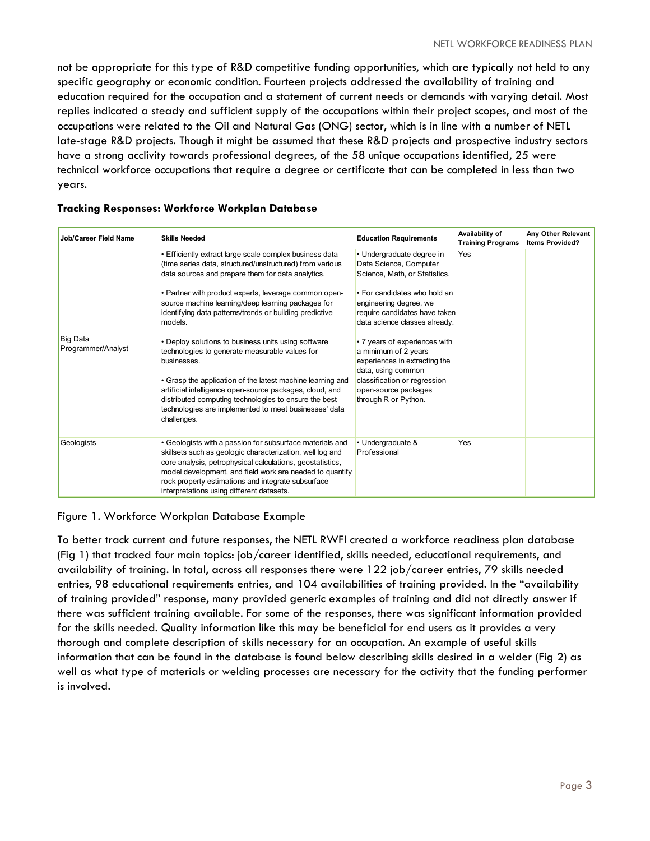not be appropriate for this type of R&D competitive funding opportunities, which are typically not held to any specific geography or economic condition. Fourteen projects addressed the availability of training and education required for the occupation and a statement of current needs or demands with varying detail. Most replies indicated a steady and sufficient supply of the occupations within their project scopes, and most of the occupations were related to the Oil and Natural Gas (ONG) sector, which is in line with a number of NETL late-stage R&D projects. Though it might be assumed that these R&D projects and prospective industry sectors have a strong acclivity towards professional degrees, of the 58 unique occupations identified, 25 were technical workforce occupations that require a degree or certificate that can be completed in less than two years.

| <b>Job/Career Field Name</b>   | <b>Skills Needed</b>                                                                                                                                                                                                                                                                                                                                                                                                                                                                                                                                                                                                                                                                                                                             | <b>Education Requirements</b>                                                                                                                                                                                                                                                                                                                                                                                    | Availability of<br><b>Training Programs</b> | Any Other Relevant<br><b>Items Provided?</b> |
|--------------------------------|--------------------------------------------------------------------------------------------------------------------------------------------------------------------------------------------------------------------------------------------------------------------------------------------------------------------------------------------------------------------------------------------------------------------------------------------------------------------------------------------------------------------------------------------------------------------------------------------------------------------------------------------------------------------------------------------------------------------------------------------------|------------------------------------------------------------------------------------------------------------------------------------------------------------------------------------------------------------------------------------------------------------------------------------------------------------------------------------------------------------------------------------------------------------------|---------------------------------------------|----------------------------------------------|
| Big Data<br>Programmer/Analyst | • Efficiently extract large scale complex business data<br>(time series data, structured/unstructured) from various<br>data sources and prepare them for data analytics.<br>• Partner with product experts, leverage common open-<br>source machine learning/deep learning packages for<br>identifying data patterns/trends or building predictive<br>models.<br>• Deploy solutions to business units using software<br>technologies to generate measurable values for<br>businesses.<br>• Grasp the application of the latest machine learning and<br>artificial intelligence open-source packages, cloud, and<br>distributed computing technologies to ensure the best<br>technologies are implemented to meet businesses' data<br>challenges. | • Undergraduate degree in<br>Data Science, Computer<br>Science, Math, or Statistics.<br>• For candidates who hold an<br>engineering degree, we<br>require candidates have taken<br>data science classes already.<br>• 7 years of experiences with<br>a minimum of 2 years<br>experiences in extracting the<br>data, using common<br>classification or regression<br>open-source packages<br>through R or Python. | Yes                                         |                                              |
| Geologists                     | • Geologists with a passion for subsurface materials and<br>skillsets such as geologic characterization, well log and<br>core analysis, petrophysical calculations, geostatistics,<br>model development, and field work are needed to quantify<br>rock property estimations and integrate subsurface<br>interpretations using different datasets.                                                                                                                                                                                                                                                                                                                                                                                                | • Undergraduate &<br>Professional                                                                                                                                                                                                                                                                                                                                                                                | Yes                                         |                                              |

#### **Tracking Responses: Workforce Workplan Database**

#### Figure 1. Workforce Workplan Database Example

To better track current and future responses, the NETL RWFI created a workforce readiness plan database (Fig 1) that tracked four main topics: job/career identified, skills needed, educational requirements, and availability of training. In total, across all responses there were 122 job/career entries, 79 skills needed entries, 98 educational requirements entries, and 104 availabilities of training provided. In the "availability of training provided" response, many provided generic examples of training and did not directly answer if there was sufficient training available. For some of the responses, there was significant information provided for the skills needed. Quality information like this may be beneficial for end users as it provides a very thorough and complete description of skills necessary for an occupation. An example of useful skills information that can be found in the database is found below describing skills desired in a welder (Fig 2) as well as what type of materials or welding processes are necessary for the activity that the funding performer is involved.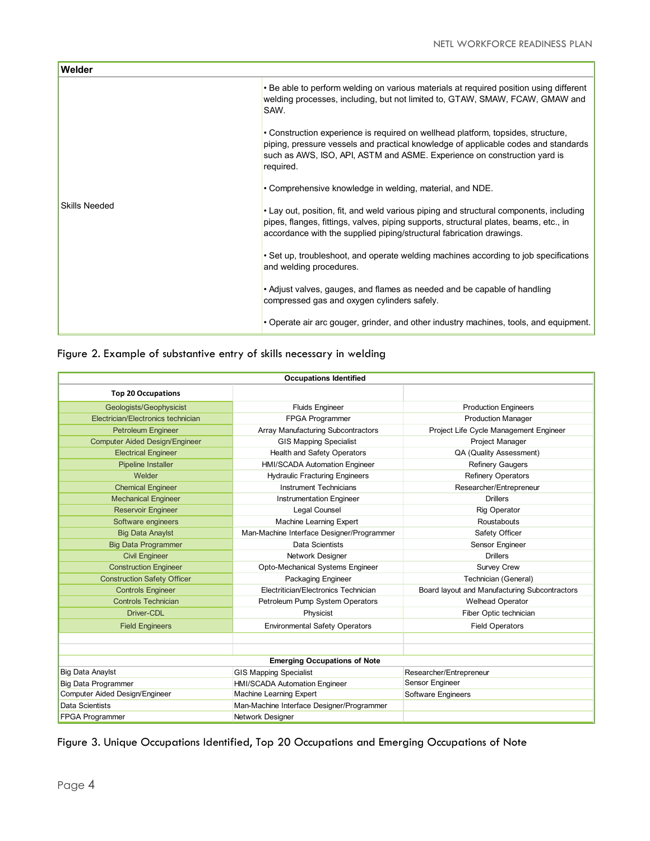| Welder               |                                                                                                                                                                                                                                                                 |
|----------------------|-----------------------------------------------------------------------------------------------------------------------------------------------------------------------------------------------------------------------------------------------------------------|
|                      | • Be able to perform welding on various materials at required position using different<br>welding processes, including, but not limited to, GTAW, SMAW, FCAW, GMAW and<br>SAW.                                                                                  |
|                      | • Construction experience is required on wellhead platform, topsides, structure,<br>piping, pressure vessels and practical knowledge of applicable codes and standards<br>such as AWS, ISO, API, ASTM and ASME. Experience on construction yard is<br>required. |
|                      | • Comprehensive knowledge in welding, material, and NDE.                                                                                                                                                                                                        |
| <b>Skills Needed</b> | • Lay out, position, fit, and weld various piping and structural components, including<br>pipes, flanges, fittings, valves, piping supports, structural plates, beams, etc., in<br>accordance with the supplied piping/structural fabrication drawings.         |
|                      | • Set up, troubleshoot, and operate welding machines according to job specifications<br>and welding procedures.                                                                                                                                                 |
|                      | • Adjust valves, gauges, and flames as needed and be capable of handling<br>compressed gas and oxygen cylinders safely.                                                                                                                                         |
|                      | • Operate air arc gouger, grinder, and other industry machines, tools, and equipment.                                                                                                                                                                           |

### Figure 2. Example of substantive entry of skills necessary in welding

| <b>Occupations Identified</b>         |                                           |                                               |  |  |
|---------------------------------------|-------------------------------------------|-----------------------------------------------|--|--|
| <b>Top 20 Occupations</b>             |                                           |                                               |  |  |
| Geologists/Geophysicist               | <b>Fluids Engineer</b>                    | <b>Production Engineers</b>                   |  |  |
| Electrician/Electronics technician    | <b>FPGA Programmer</b>                    | <b>Production Manager</b>                     |  |  |
| <b>Petroleum Engineer</b>             | Array Manufacturing Subcontractors        | Project Life Cycle Management Engineer        |  |  |
| <b>Computer Aided Design/Engineer</b> | <b>GIS Mapping Specialist</b>             | Project Manager                               |  |  |
| <b>Electrical Engineer</b>            | Health and Safety Operators               | QA (Quality Assessment)                       |  |  |
| <b>Pipeline Installer</b>             | HMI/SCADA Automation Engineer             | <b>Refinery Gaugers</b>                       |  |  |
| Welder                                | <b>Hydraulic Fracturing Engineers</b>     | <b>Refinery Operators</b>                     |  |  |
| <b>Chemical Engineer</b>              | <b>Instrument Technicians</b>             | Researcher/Entrepreneur                       |  |  |
| <b>Mechanical Engineer</b>            | <b>Instrumentation Engineer</b>           | <b>Drillers</b>                               |  |  |
| <b>Reservoir Engineer</b>             | Legal Counsel                             | <b>Rig Operator</b>                           |  |  |
| Software engineers                    | <b>Machine Learning Expert</b>            | Roustabouts                                   |  |  |
| <b>Big Data Anaylst</b>               | Man-Machine Interface Designer/Programmer | Safety Officer                                |  |  |
| <b>Big Data Programmer</b>            | <b>Data Scientists</b>                    | Sensor Engineer                               |  |  |
| <b>Civil Engineer</b>                 | Network Designer                          | <b>Drillers</b>                               |  |  |
| <b>Construction Engineer</b>          | Opto-Mechanical Systems Engineer          | <b>Survey Crew</b>                            |  |  |
| <b>Construction Safety Officer</b>    | Packaging Engineer                        | Technician (General)                          |  |  |
| <b>Controls Engineer</b>              | Electritician/Electronics Technician      | Board layout and Manufacturing Subcontractors |  |  |
| <b>Controls Technician</b>            | Petroleum Pump System Operators           | <b>Welhead Operator</b>                       |  |  |
| Driver-CDL                            | Physicist                                 | Fiber Optic technician                        |  |  |
| <b>Field Engineers</b>                | <b>Environmental Safety Operators</b>     | <b>Field Operators</b>                        |  |  |
|                                       |                                           |                                               |  |  |
|                                       |                                           |                                               |  |  |
| <b>Emerging Occupations of Note</b>   |                                           |                                               |  |  |
| <b>Big Data Anaylst</b>               | <b>GIS Mapping Specialist</b>             | Researcher/Entrepreneur                       |  |  |
| Big Data Programmer                   | HMI/SCADA Automation Engineer             | Sensor Engineer                               |  |  |
| Computer Aided Design/Engineer        | Machine Learning Expert                   | Software Engineers                            |  |  |
| Data Scientists                       | Man-Machine Interface Designer/Programmer |                                               |  |  |
| FPGA Programmer                       | Network Designer                          |                                               |  |  |

Figure 3. Unique Occupations Identified, Top 20 Occupations and Emerging Occupations of Note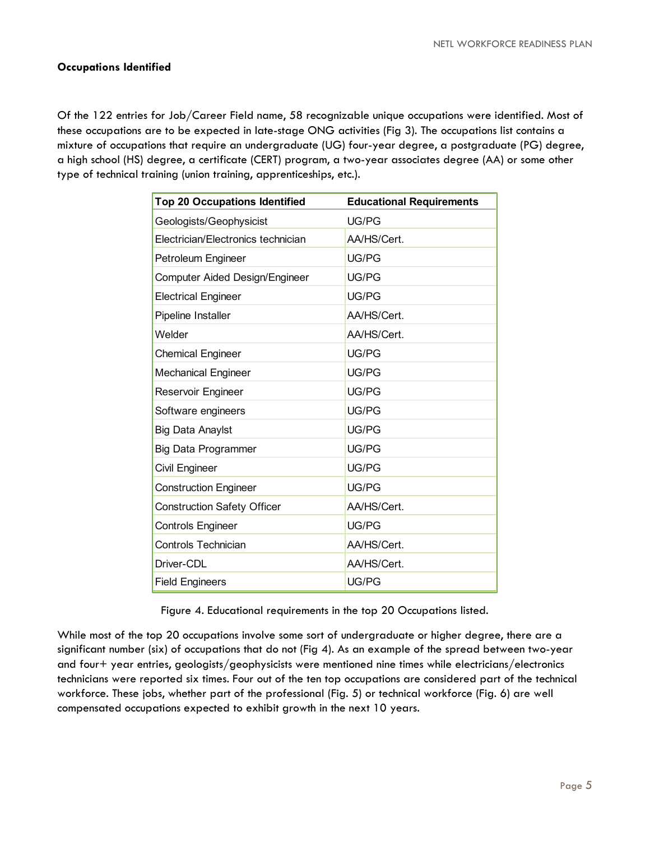#### **Occupations Identified**

Of the 122 entries for Job/Career Field name, 58 recognizable unique occupations were identified. Most of these occupations are to be expected in late-stage ONG activities (Fig 3). The occupations list contains a mixture of occupations that require an undergraduate (UG) four-year degree, a postgraduate (PG) degree, a high school (HS) degree, a certificate (CERT) program, a two-year associates degree (AA) or some other type of technical training (union training, apprenticeships, etc.).

| <b>Top 20 Occupations Identified</b> | <b>Educational Requirements</b> |
|--------------------------------------|---------------------------------|
| Geologists/Geophysicist              | UG/PG                           |
| Electrician/Electronics technician   | AA/HS/Cert.                     |
| Petroleum Engineer                   | UG/PG                           |
| Computer Aided Design/Engineer       | UG/PG                           |
| <b>Electrical Engineer</b>           | UG/PG                           |
| Pipeline Installer                   | AA/HS/Cert.                     |
| Welder                               | AA/HS/Cert.                     |
| <b>Chemical Engineer</b>             | UG/PG                           |
| <b>Mechanical Engineer</b>           | UG/PG                           |
| Reservoir Engineer                   | UG/PG                           |
| Software engineers                   | UG/PG                           |
| <b>Big Data Anaylst</b>              | UG/PG                           |
| <b>Big Data Programmer</b>           | UG/PG                           |
| Civil Engineer                       | UG/PG                           |
| <b>Construction Engineer</b>         | UG/PG                           |
| <b>Construction Safety Officer</b>   | AA/HS/Cert.                     |
| <b>Controls Engineer</b>             | UG/PG                           |
| <b>Controls Technician</b>           | AA/HS/Cert.                     |
| Driver-CDL                           | AA/HS/Cert.                     |
| <b>Field Engineers</b>               | UG/PG                           |

Figure 4. Educational requirements in the top 20 Occupations listed.

While most of the top 20 occupations involve some sort of undergraduate or higher degree, there are a significant number (six) of occupations that do not (Fig 4). As an example of the spread between two-year and four+ year entries, geologists/geophysicists were mentioned nine times while electricians/electronics technicians were reported six times. Four out of the ten top occupations are considered part of the technical workforce. These jobs, whether part of the professional (Fig. 5) or technical workforce (Fig. 6) are well compensated occupations expected to exhibit growth in the next 10 years.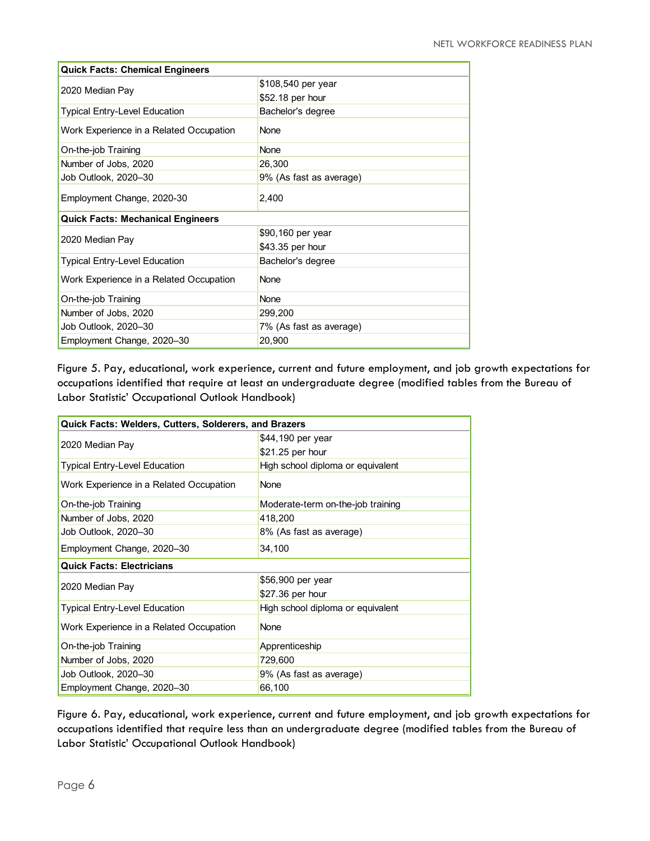| <b>Quick Facts: Chemical Engineers</b>   |                         |  |
|------------------------------------------|-------------------------|--|
|                                          | \$108,540 per year      |  |
| 2020 Median Pay                          | \$52.18 per hour        |  |
| Typical Entry-Level Education            | Bachelor's degree       |  |
| Work Experience in a Related Occupation  | None                    |  |
| On-the-job Training                      | None                    |  |
| Number of Jobs, 2020                     | 26,300                  |  |
| Job Outlook, 2020–30                     | 9% (As fast as average) |  |
| Employment Change, 2020-30               | 2,400                   |  |
| <b>Quick Facts: Mechanical Engineers</b> |                         |  |
|                                          | \$90,160 per year       |  |
| 2020 Median Pay                          | \$43.35 per hour        |  |
| <b>Typical Entry-Level Education</b>     | Bachelor's degree       |  |
| Work Experience in a Related Occupation  | <b>None</b>             |  |
| On-the-job Training                      | None                    |  |
| Number of Jobs, 2020                     | 299,200                 |  |
| Job Outlook, 2020–30                     | 7% (As fast as average) |  |
| Employment Change, 2020-30               | 20,900                  |  |

Figure 5. Pay, educational, work experience, current and future employment, and job growth expectations for occupations identified that require at least an undergraduate degree (modified tables from the Bureau of Labor Statistic' Occupational Outlook Handbook)

| <b>Quick Facts: Welders, Cutters, Solderers, and Brazers</b> |                                   |  |
|--------------------------------------------------------------|-----------------------------------|--|
|                                                              | \$44,190 per year                 |  |
| 2020 Median Pay                                              | \$21.25 per hour                  |  |
| <b>Typical Entry-Level Education</b>                         | High school diploma or equivalent |  |
| Work Experience in a Related Occupation                      | None                              |  |
| On-the-job Training                                          | Moderate-term on-the-job training |  |
| Number of Jobs, 2020                                         | 418,200                           |  |
| Job Outlook, 2020-30                                         | 8% (As fast as average)           |  |
| Employment Change, 2020-30                                   | 34,100                            |  |
| <b>Quick Facts: Electricians</b>                             |                                   |  |
| 2020 Median Pay                                              | \$56,900 per year                 |  |
|                                                              | \$27.36 per hour                  |  |
| Typical Entry-Level Education                                | High school diploma or equivalent |  |
| Work Experience in a Related Occupation                      | <b>None</b>                       |  |
| On-the-job Training                                          | Apprenticeship                    |  |
| Number of Jobs, 2020                                         | 729,600                           |  |
| Job Outlook, 2020-30                                         | 9% (As fast as average)           |  |
| Employment Change, 2020-30                                   | 66,100                            |  |

Figure 6. Pay, educational, work experience, current and future employment, and job growth expectations for occupations identified that require less than an undergraduate degree (modified tables from the Bureau of Labor Statistic' Occupational Outlook Handbook)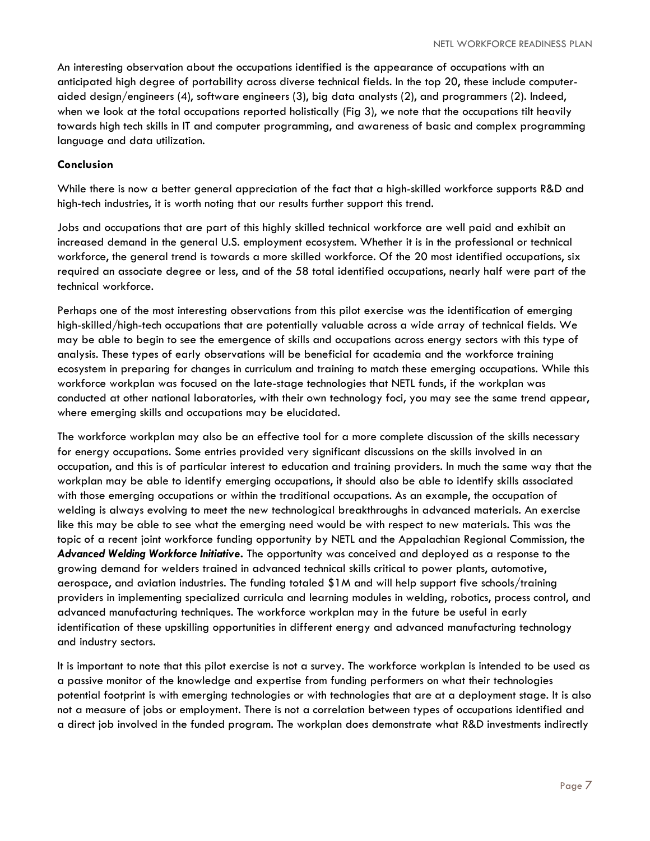An interesting observation about the occupations identified is the appearance of occupations with an anticipated high degree of portability across diverse technical fields. In the top 20, these include computeraided design/engineers (4), software engineers (3), big data analysts (2), and programmers (2). Indeed, when we look at the total occupations reported holistically (Fig 3), we note that the occupations tilt heavily towards high tech skills in IT and computer programming, and awareness of basic and complex programming language and data utilization.

#### **Conclusion**

While there is now a better general appreciation of the fact that a high-skilled workforce supports R&D and high-tech industries, it is worth noting that our results further support this trend.

Jobs and occupations that are part of this highly skilled technical workforce are well paid and exhibit an increased demand in the general U.S. employment ecosystem. Whether it is in the professional or technical workforce, the general trend is towards a more skilled workforce. Of the 20 most identified occupations, six required an associate degree or less, and of the 58 total identified occupations, nearly half were part of the technical workforce.

Perhaps one of the most interesting observations from this pilot exercise was the identification of emerging high-skilled/high-tech occupations that are potentially valuable across a wide array of technical fields. We may be able to begin to see the emergence of skills and occupations across energy sectors with this type of analysis. These types of early observations will be beneficial for academia and the workforce training ecosystem in preparing for changes in curriculum and training to match these emerging occupations. While this workforce workplan was focused on the late-stage technologies that NETL funds, if the workplan was conducted at other national laboratories, with their own technology foci, you may see the same trend appear, where emerging skills and occupations may be elucidated.

The workforce workplan may also be an effective tool for a more complete discussion of the skills necessary for energy occupations. Some entries provided very significant discussions on the skills involved in an occupation, and this is of particular interest to education and training providers. In much the same way that the workplan may be able to identify emerging occupations, it should also be able to identify skills associated with those emerging occupations or within the traditional occupations. As an example, the occupation of welding is always evolving to meet the new technological breakthroughs in advanced materials. An exercise like this may be able to see what the emerging need would be with respect to new materials. This was the topic of a recent joint workforce funding opportunity by NETL and the Appalachian Regional Commission, the *Advanced Welding Workforce Initiative***.** The opportunity was conceived and deployed as a response to the growing demand for welders trained in advanced technical skills critical to power plants, automotive, aerospace, and aviation industries. The funding totaled \$1M and will help support five schools/training providers in implementing specialized curricula and learning modules in welding, robotics, process control, and advanced manufacturing techniques. The workforce workplan may in the future be useful in early identification of these upskilling opportunities in different energy and advanced manufacturing technology and industry sectors.

It is important to note that this pilot exercise is not a survey. The workforce workplan is intended to be used as a passive monitor of the knowledge and expertise from funding performers on what their technologies potential footprint is with emerging technologies or with technologies that are at a deployment stage. It is also not a measure of jobs or employment. There is not a correlation between types of occupations identified and a direct job involved in the funded program. The workplan does demonstrate what R&D investments indirectly